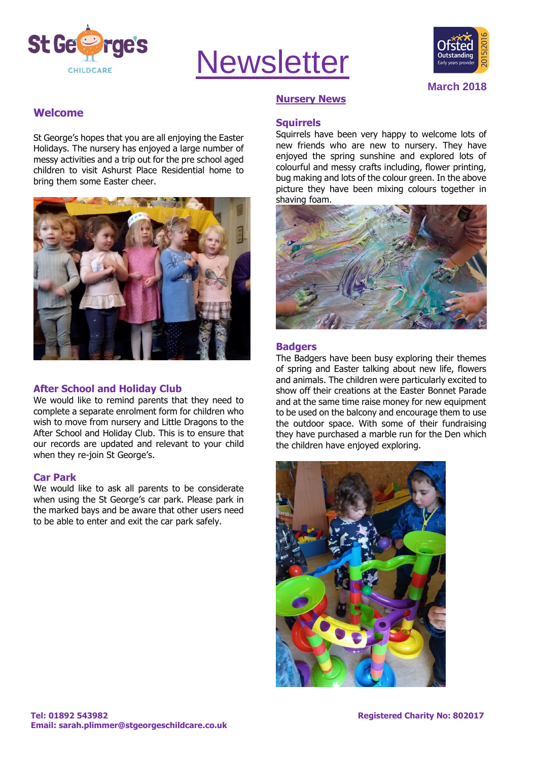

# **Newsletter**



**March 2018**

# **Welcome**

St George's hopes that you are all enjoying the Easter Holidays. The nursery has enjoyed a large number of messy activities and a trip out for the pre school aged children to visit Ashurst Place Residential home to bring them some Easter cheer.



# **After School and Holiday Club**

We would like to remind parents that they need to complete a separate enrolment form for children who wish to move from nursery and Little Dragons to the After School and Holiday Club. This is to ensure that our records are updated and relevant to your child when they re-join St George's.

#### **Car Park**

We would like to ask all parents to be considerate when using the St George's car park. Please park in the marked bays and be aware that other users need to be able to enter and exit the car park safely.

## **Nursery News**

#### **Squirrels**

Squirrels have been very happy to welcome lots of new friends who are new to nursery. They have enjoyed the spring sunshine and explored lots of colourful and messy crafts including, flower printing, bug making and lots of the colour green. In the above picture they have been mixing colours together in shaving foam.



#### **Badgers**

The Badgers have been busy exploring their themes of spring and Easter talking about new life, flowers and animals. The children were particularly excited to show off their creations at the Easter Bonnet Parade and at the same time raise money for new equipment to be used on the balcony and encourage them to use the outdoor space. With some of their fundraising they have purchased a marble run for the Den which the children have enjoyed exploring.

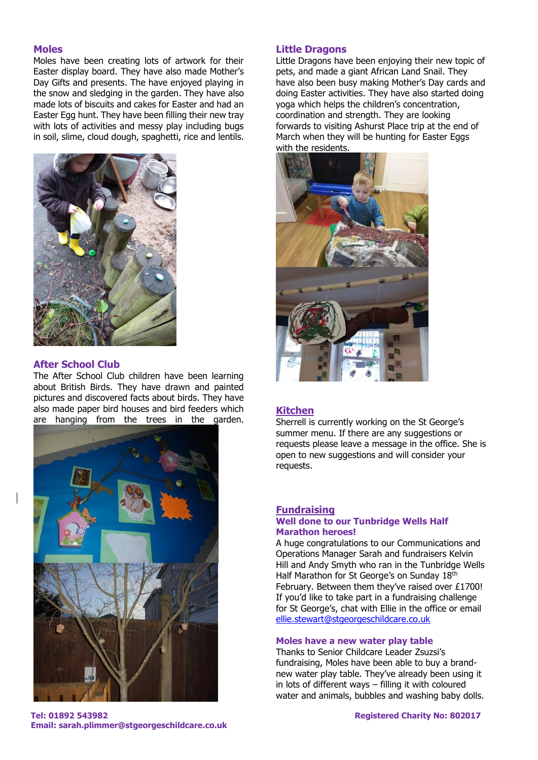#### **Moles**

Moles have been creating lots of artwork for their Easter display board. They have also made Mother's Day Gifts and presents. The have enjoyed playing in the snow and sledging in the garden. They have also made lots of biscuits and cakes for Easter and had an Easter Egg hunt. They have been filling their new tray with lots of activities and messy play including bugs in soil, slime, cloud dough, spaghetti, rice and lentils.



#### **After School Club**

The After School Club children have been learning about British Birds. They have drawn and painted pictures and discovered facts about birds. They have also made paper bird houses and bird feeders which are hanging from the trees in the garden.



#### **Little Dragons**

Little Dragons have been enjoying their new topic of pets, and made a giant African Land Snail. They have also been busy making Mother's Day cards and doing Easter activities. They have also started doing yoga which helps the children's concentration, coordination and strength. They are looking forwards to visiting Ashurst Place trip at the end of March when they will be hunting for Easter Eggs with the residents.



# **Kitchen**

Sherrell is currently working on the St George's summer menu. If there are any suggestions or requests please leave a message in the office. She is open to new suggestions and will consider your requests.

#### **Fundraising Well done to our Tunbridge Wells Half Marathon heroes!**

A huge congratulations to our Communications and Operations Manager Sarah and fundraisers Kelvin Hill and Andy Smyth who ran in the Tunbridge Wells Half Marathon for St George's on Sunday 18th February. Between them they've raised over £1700! If you'd like to take part in a fundraising challenge for St George's, chat with Ellie in the office or email [ellie.stewart@stgeorgeschildcare.co.uk](mailto:ellie.stewart@stgeorgeschildcare.co.uk)

#### **Moles have a new water play table**

Thanks to Senior Childcare Leader Zsuzsi's fundraising, Moles have been able to buy a brandnew water play table. They've already been using it in lots of different ways – filling it with coloured water and animals, bubbles and washing baby dolls.